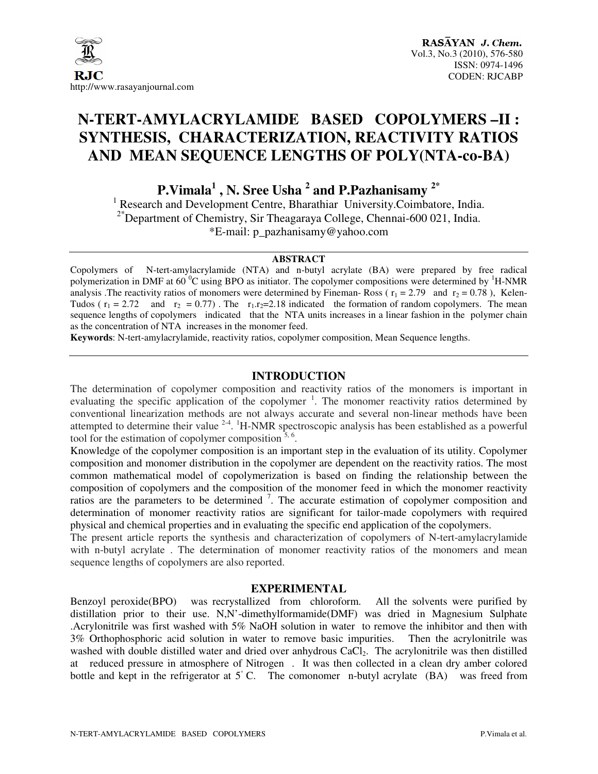

# **N-TERT-AMYLACRYLAMIDE BASED COPOLYMERS –II : SYNTHESIS, CHARACTERIZATION, REACTIVITY RATIOS AND MEAN SEQUENCE LENGTHS OF POLY(NTA-co-BA)**

**P.Vimala<sup>1</sup> , N. Sree Usha <sup>2</sup> and P.Pazhanisamy 2\***

<sup>1</sup> Research and Development Centre, Bharathiar University.Coimbatore, India. <sup>2\*</sup>Department of Chemistry, Sir Theagaraya College, Chennai-600 021, India. \*E-mail: p\_pazhanisamy@yahoo.com

#### **ABSTRACT**

Copolymers of N-tert-amylacrylamide (NTA) and n-butyl acrylate (BA) were prepared by free radical polymerization in DMF at 60  $^{\circ}$ C using BPO as initiator. The copolymer compositions were determined by <sup>1</sup>H-NMR analysis .The reactivity ratios of monomers were determined by Fineman-Ross ( $r_1 = 2.79$  and  $r_2 = 0.78$ ), Kelen-Tudos ( $r_1 = 2.72$  and  $r_2 = 0.77$ ). The  $r_1.r_2 = 2.18$  indicated the formation of random copolymers. The mean sequence lengths of copolymers indicated that the NTA units increases in a linear fashion in the polymer chain as the concentration of NTA increases in the monomer feed.

**Keywords**: N-tert-amylacrylamide, reactivity ratios, copolymer composition, Mean Sequence lengths.

## **INTRODUCTION**

The determination of copolymer composition and reactivity ratios of the monomers is important in evaluating the specific application of the copolymer<sup>1</sup>. The monomer reactivity ratios determined by conventional linearization methods are not always accurate and several non-linear methods have been attempted to determine their value  $2-4$ . <sup>1</sup>H-NMR spectroscopic analysis has been established as a powerful tool for the estimation of copolymer composition  $\frac{3}{6}$ .

Knowledge of the copolymer composition is an important step in the evaluation of its utility. Copolymer composition and monomer distribution in the copolymer are dependent on the reactivity ratios. The most common mathematical model of copolymerization is based on finding the relationship between the composition of copolymers and the composition of the monomer feed in which the monomer reactivity ratios are the parameters to be determined  $\frac{7}{1}$ . The accurate estimation of copolymer composition and determination of monomer reactivity ratios are significant for tailor-made copolymers with required physical and chemical properties and in evaluating the specific end application of the copolymers.

The present article reports the synthesis and characterization of copolymers of N-tert-amylacrylamide with n-butyl acrylate . The determination of monomer reactivity ratios of the monomers and mean sequence lengths of copolymers are also reported.

## **EXPERIMENTAL**

Benzoyl peroxide(BPO) was recrystallized from chloroform. All the solvents were purified by distillation prior to their use. N,N'-dimethylformamide(DMF) was dried in Magnesium Sulphate .Acrylonitrile was first washed with 5% NaOH solution in water to remove the inhibitor and then with 3% Orthophosphoric acid solution in water to remove basic impurities. Then the acrylonitrile was washed with double distilled water and dried over anhydrous CaCl<sub>2</sub>. The acrylonitrile was then distilled at reduced pressure in atmosphere of Nitrogen . It was then collected in a clean dry amber colored bottle and kept in the refrigerator at 5<sup>°</sup> C. The comonomer n-butyl acrylate (BA) was freed from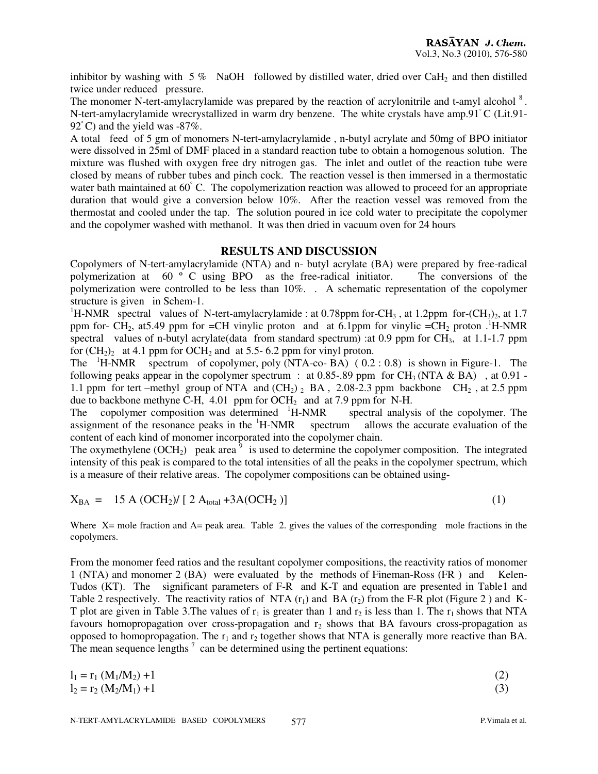inhibitor by washing with  $5\%$  NaOH followed by distilled water, dried over CaH<sub>2</sub> and then distilled twice under reduced pressure.

The monomer N-tert-amylacrylamide was prepared by the reaction of acrylonitrile and t-amyl alcohol<sup>8</sup>. N-tert-amylacrylamide wrecrystallized in warm dry benzene. The white crystals have amp.91◦ C (Lit.91- 92 ° C) and the yield was −87%.

A total feed of 5 gm of monomers N-tert-amylacrylamide , n-butyl acrylate and 50mg of BPO initiator were dissolved in 25ml of DMF placed in a standard reaction tube to obtain a homogenous solution. The mixture was flushed with oxygen free dry nitrogen gas. The inlet and outlet of the reaction tube were closed by means of rubber tubes and pinch cock. The reaction vessel is then immersed in a thermostatic water bath maintained at 60°C. The copolymerization reaction was allowed to proceed for an appropriate duration that would give a conversion below 10%. After the reaction vessel was removed from the thermostat and cooled under the tap. The solution poured in ice cold water to precipitate the copolymer and the copolymer washed with methanol. It was then dried in vacuum oven for 24 hours

## **RESULTS AND DISCUSSION**

Copolymers of N-tert-amylacrylamide (NTA) and n- butyl acrylate (BA) were prepared by free-radical polymerization at 60 º C using BPO as the free-radical initiator. The conversions of the polymerization were controlled to be less than 10%. . A schematic representation of the copolymer structure is given in Schem-1.

<sup>1</sup>H-NMR spectral values of N-tert-amylacrylamide : at 0.78ppm for-CH<sub>3</sub>, at 1.2ppm for-(CH<sub>3</sub>)<sub>2</sub>, at 1.7 ppm for- CH<sub>2</sub>, at 5.49 ppm for =CH vinylic proton and at 6.1ppm for vinylic =CH<sub>2</sub> proton .<sup>1</sup>H-NMR spectral values of n-butyl acrylate(data from standard spectrum) : at 0.9 ppm for  $CH_3$ , at 1.1-1.7 ppm for  $(CH_2)$ <sup>2</sup> at 4.1 ppm for OCH<sub>2</sub> and at 5.5- 6.2 ppm for vinyl proton.

The  ${}^{1}$ H-NMR spectrum of copolymer, poly (NTA-co- BA) (0.2 : 0.8) is shown in Figure-1. The following peaks appear in the copolymer spectrum : at 0.85-.89 ppm for CH<sub>3</sub> (NTA & BA), at 0.91 -1.1 ppm for tert –methyl group of NTA and  $(CH_2)$  and  $2.08-2.3$  ppm backbone CH<sub>2</sub>, at 2.5 ppm due to backbone methyne C-H, 4.01 ppm for  $OCH_2$  and at 7.9 ppm for N-H.

The copolymer composition was determined  ${}^{1}$ H-NMR spectral analysis of the copolymer. The assignment of the resonance peaks in the  ${}^{1}$ H-NMR spectrum allows the accurate evaluation of the assignment of the resonance peaks in the <sup>1</sup>H-NMR spectrum allows the accurate evaluation of the content of each kind of monomer incorporated into the copolymer chain.

The oxymethylene  $(OCH<sub>2</sub>)$  peak area<sup>9</sup> is used to determine the copolymer composition. The integrated intensity of this peak is compared to the total intensities of all the peaks in the copolymer spectrum, which is a measure of their relative areas. The copolymer compositions can be obtained using-

$$
X_{BA} = 15 A (OCH2)/ [2 Atotal + 3 A (OCH2)]
$$
 (1)

Where X= mole fraction and A= peak area. Table 2. gives the values of the corresponding mole fractions in the copolymers.

From the monomer feed ratios and the resultant copolymer compositions, the reactivity ratios of monomer 1 (NTA) and monomer 2 (BA) were evaluated by the methods of Fineman-Ross (FR ) and Kelen-Tudos (KT). The significant parameters of F-R and K-T and equation are presented in Table1 and Table 2 respectively. The reactivity ratios of NTA  $(r_1)$  and BA  $(r_2)$  from the F-R plot (Figure 2) and K-T plot are given in Table 3. The values of  $r_1$  is greater than 1 and  $r_2$  is less than 1. The  $r_1$  shows that NTA favours homopropagation over cross-propagation and  $r<sub>2</sub>$  shows that BA favours cross-propagation as opposed to homopropagation. The  $r_1$  and  $r_2$  together shows that NTA is generally more reactive than BA. The mean sequence lengths  $\frac{7}{2}$  can be determined using the pertinent equations:

| $l_1 = r_1 (M_1/M_2) + 1$ |  |
|---------------------------|--|
| $l_2 = r_2 (M_2/M_1) + 1$ |  |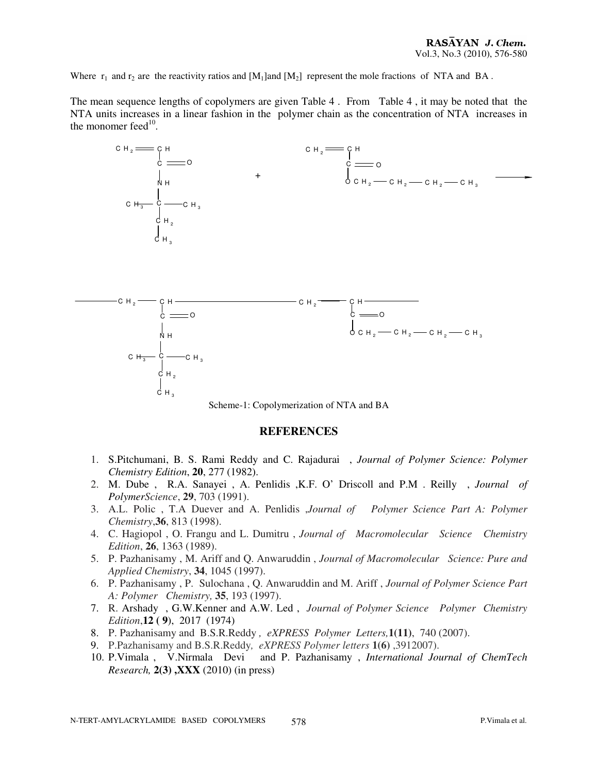Where  $r_1$  and  $r_2$  are the reactivity ratios and  $[M_1]$ and  $[M_2]$  represent the mole fractions of NTA and BA.

The mean sequence lengths of copolymers are given Table 4 . From Table 4 , it may be noted that the NTA units increases in a linear fashion in the polymer chain as the concentration of NTA increases in the monomer feed $10$ .



#### **REFERENCES**

- 1. S.Pitchumani, B. S. Rami Reddy and C. Rajadurai , *Journal of Polymer Science: Polymer Chemistry Edition*, **20**, 277 (1982).
- 2. M. Dube , R.A. Sanayei , A. Penlidis ,K.F. O' Driscoll and P.M . Reilly , *Journal of PolymerScience*, **29**, 703 (1991).
- 3. A.L. Polic , T.A Duever and A. Penlidis ,*Journal of Polymer Science Part A: Polymer Chemistry*,**36**, 813 (1998).
- 4. C. Hagiopol , O. Frangu and L. Dumitru , *Journal of Macromolecular Science Chemistry Edition*, **26**, 1363 (1989).
- 5. P. Pazhanisamy , M. Ariff and Q. Anwaruddin , *Journal of Macromolecular Science: Pure and Applied Chemistry*, **34**, 1045 (1997).
- 6. P. Pazhanisamy , P. Sulochana , Q. Anwaruddin and M. Ariff , *Journal of Polymer Science Part A: Polymer Chemistry,* **35**, 193 (1997).
- 7. R. Arshady , G.W.Kenner and A.W. Led ,*Journal of Polymer Science Polymer Chemistry Edition*,**12 ( 9**), 2017 (1974)
- 8. P. Pazhanisamy and B.S.R.Reddy *, eXPRESS Polymer Letters,***1(11)**, 740 (2007).
- 9. P.Pazhanisamy and B.S.R.Reddy*, eXPRESS Polymer letters* **1(6)** ,3912007).
- 10. P.Vimala , V.Nirmala Devi and P. Pazhanisamy , *International Journal of ChemTech Research,* **2(3) ,XXX** (2010) (in press)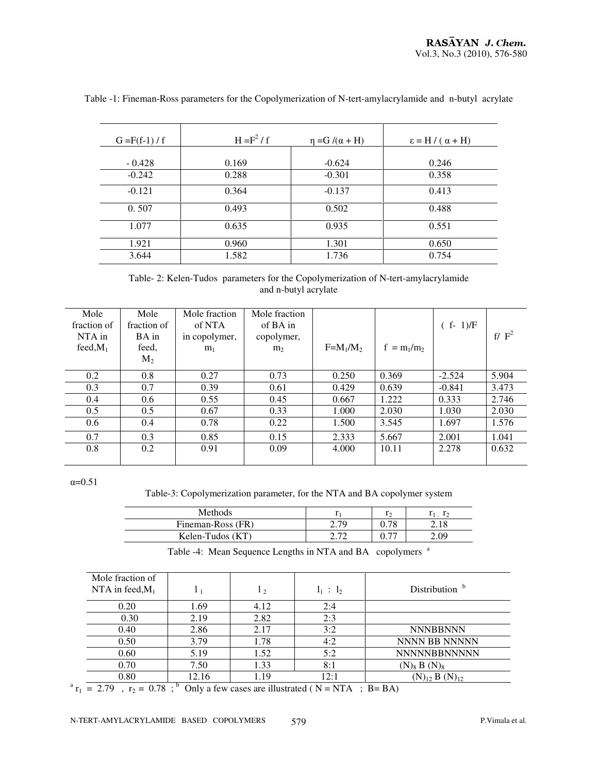| $G = F(f-1)/f$ | $H = F2/f$ | $\eta = G / (\alpha + H)$ | $\epsilon = H / (\alpha + H)$ |
|----------------|------------|---------------------------|-------------------------------|
|                |            |                           |                               |
| $-0.428$       | 0.169      | $-0.624$                  | 0.246                         |
| $-0.242$       | 0.288      | $-0.301$                  | 0.358                         |
| $-0.121$       | 0.364      | $-0.137$                  | 0.413                         |
| 0.507          | 0.493      | 0.502                     | 0.488                         |
| 1.077          | 0.635      | 0.935                     | 0.551                         |
| 1.921          | 0.960      | 1.301                     | 0.650                         |
| 3.644          | 1.582      | 1.736                     | 0.754                         |

Table -1: Fineman-Ross parameters for the Copolymerization of N-tert-amylacrylamide and n-butyl acrylate

Table- 2: Kelen-Tudos parameters for the Copolymerization of N-tert-amylacrylamide and n-butyl acrylate

| Mole        | Mole           | Mole fraction  | Mole fraction  |             |               |             |          |
|-------------|----------------|----------------|----------------|-------------|---------------|-------------|----------|
| fraction of | fraction of    | of NTA         | of BA in       |             |               | $(f - 1)/F$ |          |
| NTA in      | BA in          | in copolymer,  | copolymer,     |             |               |             | f/ $F^2$ |
| feed, $M_1$ | feed,          | m <sub>1</sub> | m <sub>2</sub> | $F=M_1/M_2$ | $f = m_1/m_2$ |             |          |
|             | M <sub>2</sub> |                |                |             |               |             |          |
| 0.2         | 0.8            | 0.27           | 0.73           | 0.250       | 0.369         | $-2.524$    | 5.904    |
| 0.3         | 0.7            | 0.39           | 0.61           | 0.429       | 0.639         | $-0.841$    | 3.473    |
| 0.4         | 0.6            | 0.55           | 0.45           | 0.667       | 1.222         | 0.333       | 2.746    |
| 0.5         | 0.5            | 0.67           | 0.33           | 1.000       | 2.030         | 1.030       | 2.030    |
| 0.6         | 0.4            | 0.78           | 0.22           | 1.500       | 3.545         | 1.697       | 1.576    |
| 0.7         | 0.3            | 0.85           | 0.15           | 2.333       | 5.667         | 2.001       | 1.041    |
| 0.8         | 0.2            | 0.91           | 0.09           | 4.000       | 10.11         | 2.278       | 0.632    |
|             |                |                |                |             |               |             |          |

 $\alpha=0.51$ 

Table-3: Copolymerization parameter, for the NTA and BA copolymer system

| Methods           |               |      |
|-------------------|---------------|------|
| Fineman-Ross (FR) | 7 7 C<br>$-1$ |      |
| Kelen-Tudos (KT)  |               | -.09 |

Table -4: Mean Sequence Lengths in NTA and BA copolymers <sup>a</sup>

| Mole fraction of   |       |      |             |                           |
|--------------------|-------|------|-------------|---------------------------|
| NTA in feed, $M_1$ | 11    | 12   | $l_1 : l_2$ | Distribution <sup>b</sup> |
| 0.20               | 1.69  | 4.12 | 2:4         |                           |
| 0.30               | 2.19  | 2.82 | 2:3         |                           |
| 0.40               | 2.86  | 2.17 | 3:2         | <b>NNNBBNNN</b>           |
| 0.50               | 3.79  | 1.78 | 4:2         | NNNN BB NNNNN             |
| 0.60               | 5.19  | 1.52 | 5:2         | <b>NNNNNBBNNNNN</b>       |
| 0.70               | 7.50  | 1.33 | 8:1         | $(N)_8 B (N)_8$           |
| 0.80               | 12.16 | 1.19 | 12:1        | $(N)_{12} B(N)_{12}$      |

 $r_1$  = 2.79,  $r_2$  = 0.78;<sup>b</sup> Only a few cases are illustrated (N = NTA; B = BA)